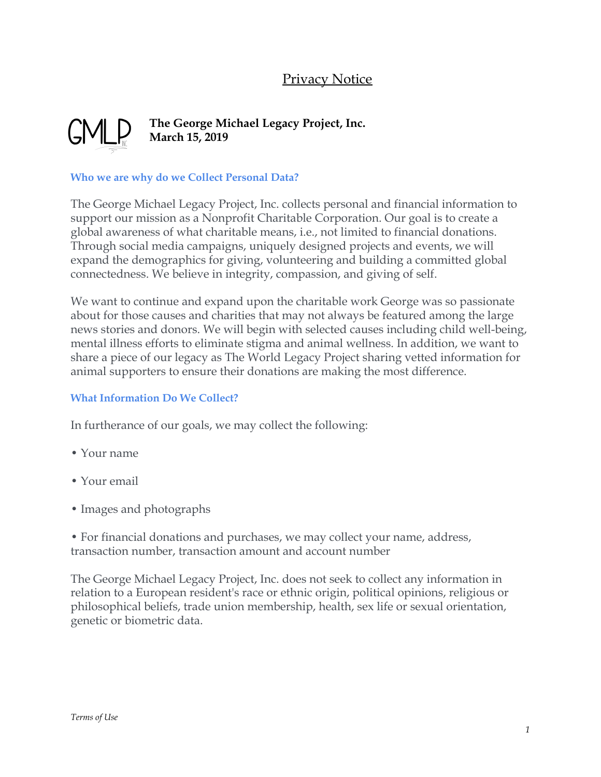# **Privacy Notice**



## **The George Michael Legacy Project, Inc. March 15, 2019**

### **Who we are why do we Collect Personal Data?**

The George Michael Legacy Project, Inc. collects personal and financial information to support our mission as a Nonprofit Charitable Corporation. Our goal is to create a global awareness of what charitable means, i.e., not limited to financial donations. Through social media campaigns, uniquely designed projects and events, we will expand the demographics for giving, volunteering and building a committed global connectedness. We believe in integrity, compassion, and giving of self.

We want to continue and expand upon the charitable work George was so passionate about for those causes and charities that may not always be featured among the large news stories and donors. We will begin with selected causes including child well-being, mental illness efforts to eliminate stigma and animal wellness. In addition, we want to share a piece of our legacy as The World Legacy Project sharing vetted information for animal supporters to ensure their donations are making the most difference.

### **What Information Do We Collect?**

In furtherance of our goals, we may collect the following:

- Your name
- Your email
- Images and photographs
- For financial donations and purchases, we may collect your name, address, transaction number, transaction amount and account number

The George Michael Legacy Project, Inc. does not seek to collect any information in relation to a European resident's race or ethnic origin, political opinions, religious or philosophical beliefs, trade union membership, health, sex life or sexual orientation, genetic or biometric data.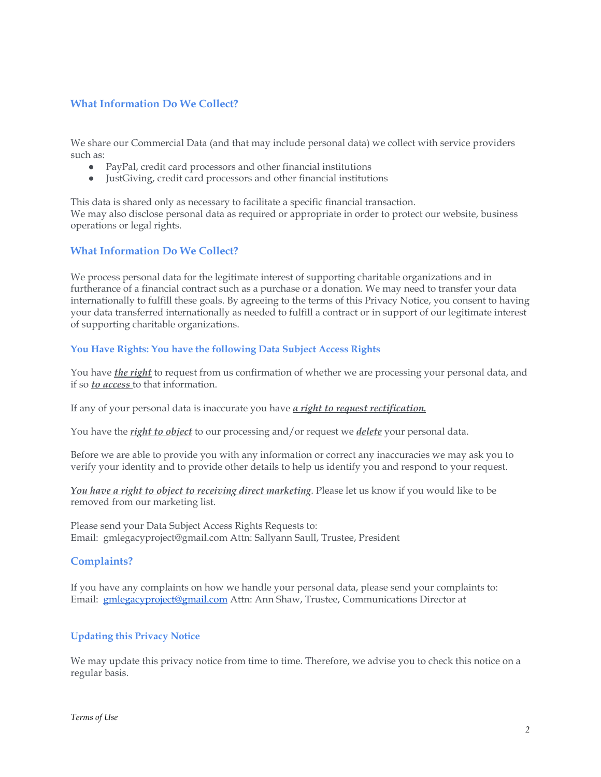#### **What Information Do We Collect?**

We share our Commercial Data (and that may include personal data) we collect with service providers such as:

- PayPal, credit card processors and other financial institutions
- JustGiving, credit card processors and other financial institutions

This data is shared only as necessary to facilitate a specific financial transaction. We may also disclose personal data as required or appropriate in order to protect our website, business operations or legal rights.

#### **What Information Do We Collect?**

We process personal data for the legitimate interest of supporting charitable organizations and in furtherance of a financial contract such as a purchase or a donation. We may need to transfer your data internationally to fulfill these goals. By agreeing to the terms of this Privacy Notice, you consent to having your data transferred internationally as needed to fulfill a contract or in support of our legitimate interest of supporting charitable organizations.

#### **You Have Rights: You have the following Data Subject Access Rights**

You have *the right* to request from us confirmation of whether we are processing your personal data, and if so *to access* to that information.

If any of your personal data is inaccurate you have *a right to request rectification.*

You have the *right to object* to our processing and/or request we *delete* your personal data.

Before we are able to provide you with any information or correct any inaccuracies we may ask you to verify your identity and to provide other details to help us identify you and respond to your request.

*You have a right to object to receiving direct marketing*. Please let us know if you would like to be removed from our marketing list.

Please send your Data Subject Access Rights Requests to: Email: gmlegacyproject@gmail.com Attn: Sallyann Saull, Trustee, President

#### **Complaints?**

If you have any complaints on how we handle your personal data, please send your complaints to: Email: [gmlegacyproject@gmail.com](mailto:gmlegacyproject@gmail.com) Attn: Ann Shaw, Trustee, Communications Director at

#### **Updating this Privacy Notice**

We may update this privacy notice from time to time. Therefore, we advise you to check this notice on a regular basis.